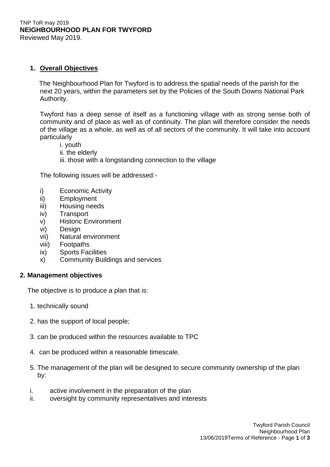#### TNP ToR may 2019 **NEIGHBOURHOOD PLAN FOR TWYFORD** Reviewed May 2019.

# **1. Overall Objectives**

 The Neighbourhood Plan for Twyford is to address the spatial needs of the parish for the next 20 years, within the parameters set by the Policies of the South Downs National Park Authority.

Twyford has a deep sense of itself as a functioning village with as strong sense both of community and of place as well as of continuity. The plan will therefore consider the needs of the village as a whole, as well as of all sectors of the community. It will take into account particularly

- i. youth
- ii. the elderly
- iii. those with a longstanding connection to the village

The following issues will be addressed:-

- i) Economic Activity
- ii) Employment
- iii) Housing needs
- iv) Transport
- v) Historic Environment
- vi) Design
- vii) Natural environment
- viii) Footpaths
- ix) Sports Facilities
- x) Community Buildings and services

# **2. Management objectives**

The objective is to produce a plan that is:

- 1. technically sound
- 2. has the support of local people;
- 3. can be produced within the resources available to TPC
- 4. can be produced within a reasonable timescale.
- 5. The management of the plan will be designed to secure community ownership of the plan by:
- i. active involvement in the preparation of the plan
- ii. oversight by community representatives and interests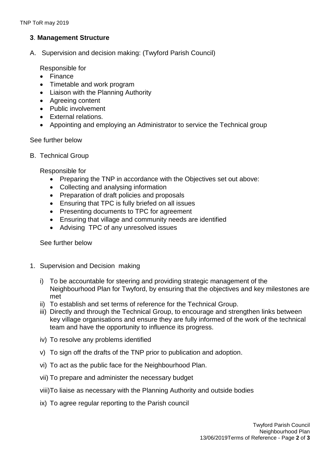# **3**. **Management Structure**

A. Supervision and decision making: (Twyford Parish Council)

Responsible for

- Finance
- Timetable and work program
- Liaison with the Planning Authority
- Agreeing content
- Public involvement
- External relations.
- Appointing and employing an Administrator to service the Technical group

### See further below

B. Technical Group

Responsible for

- Preparing the TNP in accordance with the Objectives set out above:
- Collecting and analysing information
- Preparation of draft policies and proposals
- Ensuring that TPC is fully briefed on all issues
- Presenting documents to TPC for agreement
- Ensuring that village and community needs are identified
- Advising TPC of any unresolved issues

See further below

- 1. Supervision and Decision making
	- i) To be accountable for steering and providing strategic management of the Neighbourhood Plan for Twyford, by ensuring that the objectives and key milestones are met
	- ii) To establish and set terms of reference for the Technical Group.
	- iii) Directly and through the Technical Group, to encourage and strengthen links between key village organisations and ensure they are fully informed of the work of the technical team and have the opportunity to influence its progress.
	- iv) To resolve any problems identified
	- v) To sign off the drafts of the TNP prior to publication and adoption.
	- vi) To act as the public face for the Neighbourhood Plan.
	- vii) To prepare and administer the necessary budget
	- viii)To liaise as necessary with the Planning Authority and outside bodies
	- ix) To agree regular reporting to the Parish council